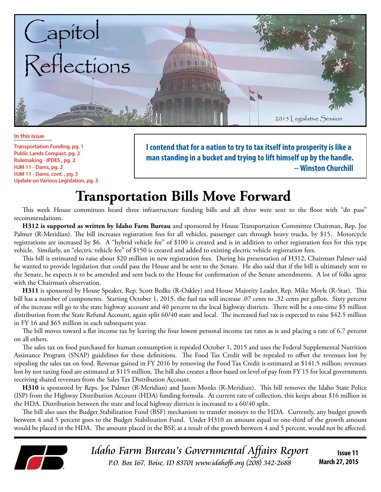

**In this issue**

**Transportation Funding, pg. 1 Public Lands Compact, pg. 2 Rulemaking - IPDES , pg. 2 HJM 11 - Dams, pg. 2 HJM 11 - Dams, cont. , pg. 3 Update on Various Legislation, pg. 3** **I contend that for a nation to try to tax itself into prosperity is like a man standing in a bucket and trying to lift himself up by the handle. -- Winston Churchill**

# **Transportation Bills Move Forward**

This week House committees heard three infrastructure funding bills and all three were sent to the floor with "do pass" recommendations.

**H312 is supported as written by Idaho Farm Bureau** and sponsored by House Transportation Committee Chairman, Rep. Joe Palmer (R-Meridian). The bill increases registration fees for all vehicles, passenger cars through heavy trucks, by \$15. Motorcycle registrations are increased by \$6. A "hybrid vehicle fee" of \$100 is created and is in addition to other registration fees for this type vehicle. Similarly, an "electric vehicle fee" of \$150 is created and added to existing electric vehicle registration fees.

This bill is estimated to raise about \$20 million in new registration fees. During his presentation of H312, Chairman Palmer said he wanted to provide legislation that could pass the House and be sent to the Senate. He also said that if the bill is ultimately sent to the Senate, he expects it to be amended and sent back to the House for confirmation of the Senate amendments. A lot of folks agree with the Chairman's observation.

**H311** is sponsored by House Speaker, Rep. Scott Bedke (R-Oakley) and House Majority Leader, Rep. Mike Moyle (R-Star). This bill has a number of components. Starting October 1, 2015, the fuel tax will increase .07 cents to .32 cents per gallon. Sixty percent of the increase will go to the state highway account and 40 percent to the local highway districts. There will be a one-time \$5 million distribution from the State Refund Account, again split 60/40 state and local. The increased fuel tax is expected to raise \$42.5 million in FY 16 and \$65 million in each subsequent year.

The bill moves toward a flat income tax by leaving the four lowest personal income tax rates as is and placing a rate of 6.7 percent on all others.

The sales tax on food purchased for human consumption is repealed October 1, 2015 and uses the Federal Supplemental Nutrition Assistance Program (SNAP) guidelines for these definitions. The Food Tax Credit will be repealed to offset the revenues lost by repealing the sales tax on food. Revenue gained in FY 2016 by removing the Food Tax Credit is estimated at \$141.5 million; revenues lost by not taxing food are estimated at \$115 million. The bill also creates a floor based on level of pay from FY 15 for local governments receiving shared revenues from the Sales Tax Distribution Account.

**H310** is sponsored by Reps. Joe Palmer (R-Meridian) and Jason Monks (R-Meridian). This bill removes the Idaho State Police (ISP) from the Highway Distribution Account (HDA) funding formula. At current rate of collection, this keeps about \$16 million in the HDA. Distribution between the state and local highway districts is increased to a 60/40 split.

The bill also uses the Budget Stabilization Fund (BSF) mechanism to transfer moneys to the HDA. Currently, any budget growth between 4 and 5 percent goes to the Budget Stabilization Fund. Under H310 an amount equal to one-third of the growth amount would be placed in the HDA. The amount placed in the BSF, as a result of the growth between 4 and 5 percent, would not be affected.



Idaho Farm Bureau's Governmental Affairs Report P.O. Box 167, Boise, ID 83701 www.idahofb.org (208) 342-2688

**Issue 11 March 27, 2015**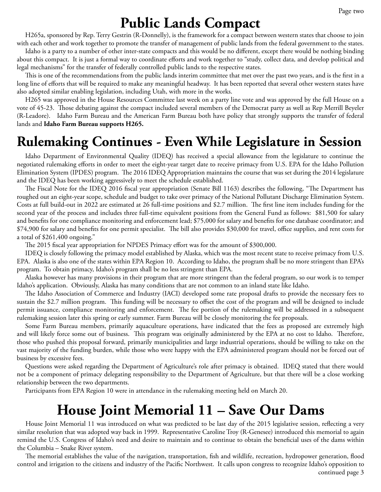## **Public Lands Compact**

H265a, sponsored by Rep. Terry Gestrin (R-Donnelly), is the framework for a compact between western states that choose to join with each other and work together to promote the transfer of management of public lands from the federal government to the states.

Idaho is a party to a number of other inter-state compacts and this would be no different, except there would be nothing binding about this compact. It is just a formal way to coordinate efforts and work together to "study, collect data, and develop political and legal mechanisms" for the transfer of federally controlled public lands to the respective states.

This is one of the recommendations from the public lands interim committee that met over the past two years, and is the first in a long line of efforts that will be required to make any meaningful headway. It has been reported that several other western states have also adopted similar enabling legislation, including Utah, with more in the works.

H265 was approved in the House Resources Committee last week on a party line vote and was approved by the full House on a vote of 45-23. Those debating against the compact included several members of the Democrat party as well as Rep Merrill Beyeler (R-Leadore). Idaho Farm Bureau and the American Farm Bureau both have policy that strongly supports the transfer of federal lands and **Idaho Farm Bureau supports H265.**

## **Rulemaking Continues - Even While Legislature in Session**

Idaho Department of Environmental Quality (IDEQ) has received a special allowance from the legislature to continue the negotiated rulemaking efforts in order to meet the eight-year target date to receive primacy from U.S. EPA for the Idaho Pollution Elimination System (IPDES) program. The 2016 IDEQ Appropriation maintains the course that was set during the 2014 legislature and the IDEQ has been working aggressively to meet the schedule established.

The Fiscal Note for the IDEQ 2016 fiscal year appropriation (Senate Bill 1163) describes the following, "The Department has roughed out an eight-year scope, schedule and budget to take over primacy of the National Pollutant Discharge Elimination System. Costs at full build-out in 2022 are estimated at 26 full-time positions and \$2.7 million. The first line item includes funding for the second year of the process and includes three full-time equivalent positions from the General Fund as follows: \$81,500 for salary and benefits for one compliance monitoring and enforcement lead; \$75,000 for salary and benefits for one database coordinator; and \$74,900 for salary and benefits for one permit specialist. The bill also provides \$30,000 for travel, office supplies, and rent costs for a total of \$261,400 ongoing."

The 2015 fiscal year appropriation for NPDES Primacy effort was for the amount of \$300,000.

IDEQ is closely following the primacy model established by Alaska, which was the most recent state to receive primacy from U.S. EPA. Alaska is also one of the states within EPA Region 10. According to Idaho, the program shall be no more stringent than EPA's program. To obtain primacy, Idaho's program shall be no less stringent than EPA.

Alaska however has many provisions in their program that are more stringent than the federal program, so our work is to temper Idaho's application. Obviously, Alaska has many conditions that are not common to an inland state like Idaho.

The Idaho Association of Commerce and Industry (IACI) developed some rate proposal drafts to provide the necessary fees to sustain the \$2.7 million program. This funding will be necessary to offset the cost of the program and will be designed to include permit issuance, compliance monitoring and enforcement. The fee portion of the rulemaking will be addressed in a subsequent rulemaking session later this spring or early summer. Farm Bureau will be closely monitoring the fee proposals.

Some Farm Bureau members, primarily aquaculture operations, have indicated that the fees as proposed are extremely high and will likely force some out of business. This program was originally administered by the EPA at no cost to Idaho. Therefore, those who pushed this proposal forward, primarily municipalities and large industrial operations, should be willing to take on the vast majority of the funding burden, while those who were happy with the EPA administered program should not be forced out of business by excessive fees.

Questions were asked regarding the Department of Agriculture's role after primacy is obtained. IDEQ stated that there would not be a component of primacy delegating responsibility to the Department of Agriculture, but that there will be a close working relationship between the two departments.

Participants from EPA Region 10 were in attendance in the rulemaking meeting held on March 20.

#### **House Joint Memorial 11 – Save Our Dams**

House Joint Memorial 11 was introduced on what was predicted to be last day of the 2015 legislative session, reflecting a very similar resolution that was adopted way back in 1999. Representative Caroline Troy (R-Genesee) introduced this memorial to again remind the U.S. Congress of Idaho's need and desire to maintain and to continue to obtain the beneficial uses of the dams within the Columbia – Snake River system.

continued page 3 The memorial establishes the value of the navigation, transportation, fish and wildlife, recreation, hydropower generation, flood control and irrigation to the citizens and industry of the Pacific Northwest. It calls upon congress to recognize Idaho's opposition to